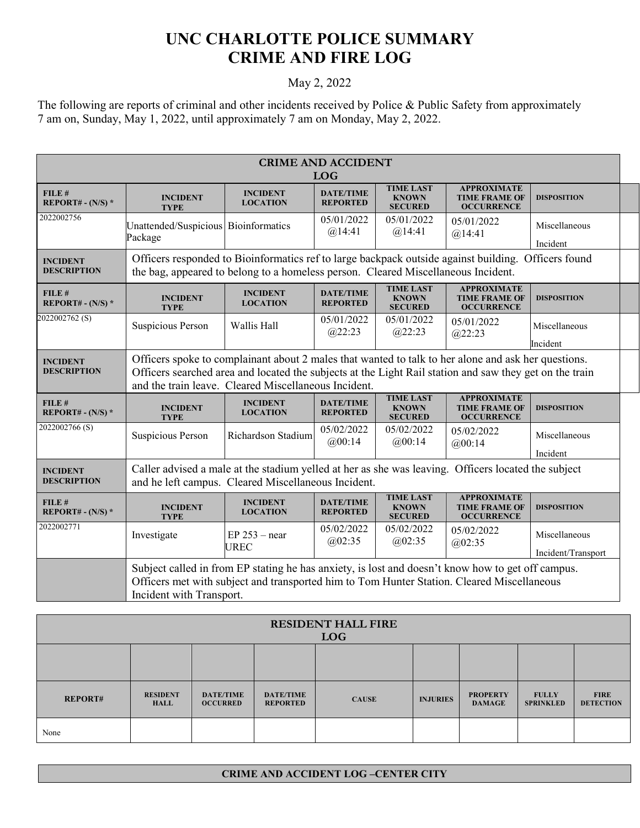## **UNC CHARLOTTE POLICE SUMMARY CRIME AND FIRE LOG**

## May 2, 2022

The following are reports of criminal and other incidents received by Police & Public Safety from approximately 7 am on, Sunday, May 1, 2022, until approximately 7 am on Monday, May 2, 2022.

| <b>CRIME AND ACCIDENT</b><br><b>LOG</b> |                                                                                                                                                                                                                                                                        |                                    |                                     |                                                    |                                                                 |                                     |
|-----------------------------------------|------------------------------------------------------------------------------------------------------------------------------------------------------------------------------------------------------------------------------------------------------------------------|------------------------------------|-------------------------------------|----------------------------------------------------|-----------------------------------------------------------------|-------------------------------------|
| FILE#<br>REPORT# - $(N/S)$ *            | <b>INCIDENT</b><br><b>TYPE</b>                                                                                                                                                                                                                                         | <b>INCIDENT</b><br><b>LOCATION</b> | <b>DATE/TIME</b><br><b>REPORTED</b> | <b>TIME LAST</b><br><b>KNOWN</b><br><b>SECURED</b> | <b>APPROXIMATE</b><br><b>TIME FRAME OF</b><br><b>OCCURRENCE</b> | <b>DISPOSITION</b>                  |
| 2022002756                              | Unattended/Suspicious Bioinformatics<br>Package                                                                                                                                                                                                                        |                                    | 05/01/2022<br>@14:41                | 05/01/2022<br>@14:41                               | 05/01/2022<br>@14:41                                            | Miscellaneous<br>Incident           |
| <b>INCIDENT</b><br><b>DESCRIPTION</b>   | Officers responded to Bioinformatics ref to large backpack outside against building. Officers found<br>the bag, appeared to belong to a homeless person. Cleared Miscellaneous Incident.                                                                               |                                    |                                     |                                                    |                                                                 |                                     |
| FILE #<br>REPORT# - $(N/S)$ *           | <b>INCIDENT</b><br><b>TYPE</b>                                                                                                                                                                                                                                         | <b>INCIDENT</b><br><b>LOCATION</b> | <b>DATE/TIME</b><br><b>REPORTED</b> | <b>TIME LAST</b><br><b>KNOWN</b><br><b>SECURED</b> | <b>APPROXIMATE</b><br><b>TIME FRAME OF</b><br><b>OCCURRENCE</b> | <b>DISPOSITION</b>                  |
| 2022002762 <sub>(S)</sub>               | Suspicious Person                                                                                                                                                                                                                                                      | Wallis Hall                        | 05/01/2022<br>@22:23                | 05/01/2022<br>(a)22:23                             | 05/01/2022<br>(a)22:23                                          | Miscellaneous<br>Incident           |
| <b>INCIDENT</b><br><b>DESCRIPTION</b>   | Officers spoke to complainant about 2 males that wanted to talk to her alone and ask her questions.<br>Officers searched area and located the subjects at the Light Rail station and saw they get on the train<br>and the train leave. Cleared Miscellaneous Incident. |                                    |                                     |                                                    |                                                                 |                                     |
| FILE #<br>REPORT# - $(N/S)$ *           | <b>INCIDENT</b><br><b>TYPE</b>                                                                                                                                                                                                                                         | <b>INCIDENT</b><br><b>LOCATION</b> | <b>DATE/TIME</b><br><b>REPORTED</b> | <b>TIME LAST</b><br><b>KNOWN</b><br><b>SECURED</b> | <b>APPROXIMATE</b><br><b>TIME FRAME OF</b><br><b>OCCURRENCE</b> | <b>DISPOSITION</b>                  |
| 2022002766(S)                           | Suspicious Person                                                                                                                                                                                                                                                      | Richardson Stadium                 | 05/02/2022<br>@00:14                | 05/02/2022<br>@00:14                               | 05/02/2022<br>@00:14                                            | Miscellaneous<br>Incident           |
| <b>INCIDENT</b><br><b>DESCRIPTION</b>   | Caller advised a male at the stadium yelled at her as she was leaving. Officers located the subject<br>and he left campus. Cleared Miscellaneous Incident.                                                                                                             |                                    |                                     |                                                    |                                                                 |                                     |
| FILE #<br>REPORT# - $(N/S)$ *           | <b>INCIDENT</b><br><b>TYPE</b>                                                                                                                                                                                                                                         | <b>INCIDENT</b><br><b>LOCATION</b> | <b>DATE/TIME</b><br><b>REPORTED</b> | <b>TIME LAST</b><br><b>KNOWN</b><br><b>SECURED</b> | <b>APPROXIMATE</b><br><b>TIME FRAME OF</b><br><b>OCCURRENCE</b> | <b>DISPOSITION</b>                  |
| 2022002771                              | Investigate                                                                                                                                                                                                                                                            | $EP$ 253 – near<br><b>UREC</b>     | 05/02/2022<br>@02:35                | 05/02/2022<br>@02:35                               | 05/02/2022<br>@02:35                                            | Miscellaneous<br>Incident/Transport |
|                                         | Subject called in from EP stating he has anxiety, is lost and doesn't know how to get off campus.<br>Officers met with subject and transported him to Tom Hunter Station. Cleared Miscellaneous<br>Incident with Transport.                                            |                                    |                                     |                                                    |                                                                 |                                     |

| <b>RESIDENT HALL FIRE</b><br><b>LOG</b> |                                |                                     |                                     |              |                 |                                  |                                  |                                 |
|-----------------------------------------|--------------------------------|-------------------------------------|-------------------------------------|--------------|-----------------|----------------------------------|----------------------------------|---------------------------------|
|                                         |                                |                                     |                                     |              |                 |                                  |                                  |                                 |
| <b>REPORT#</b>                          | <b>RESIDENT</b><br><b>HALL</b> | <b>DATE/TIME</b><br><b>OCCURRED</b> | <b>DATE/TIME</b><br><b>REPORTED</b> | <b>CAUSE</b> | <b>INJURIES</b> | <b>PROPERTY</b><br><b>DAMAGE</b> | <b>FULLY</b><br><b>SPRINKLED</b> | <b>FIRE</b><br><b>DETECTION</b> |
| None                                    |                                |                                     |                                     |              |                 |                                  |                                  |                                 |

## **CRIME AND ACCIDENT LOG –CENTER CITY**